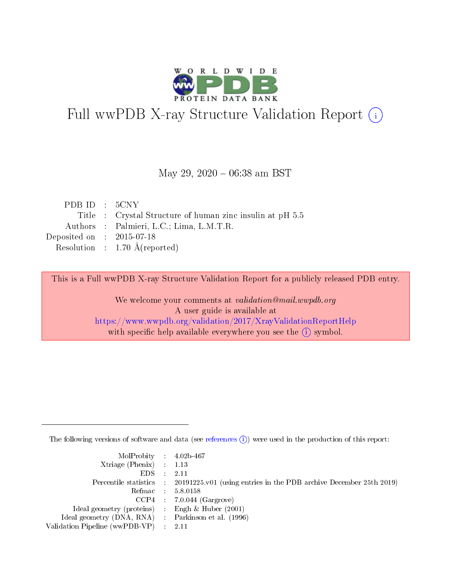

# Full wwPDB X-ray Structure Validation Report (i)

#### May 29,  $2020 - 06:38$  am BST

| PDB ID $: 5CNY$             |                                                           |
|-----------------------------|-----------------------------------------------------------|
|                             | Title : Crystal Structure of human zinc insulin at pH 5.5 |
|                             | Authors : Palmieri, L.C.; Lima, L.M.T.R.                  |
| Deposited on : $2015-07-18$ |                                                           |
|                             | Resolution : $1.70 \text{ Å}$ (reported)                  |

This is a Full wwPDB X-ray Structure Validation Report for a publicly released PDB entry.

We welcome your comments at validation@mail.wwpdb.org A user guide is available at <https://www.wwpdb.org/validation/2017/XrayValidationReportHelp> with specific help available everywhere you see the  $(i)$  symbol.

The following versions of software and data (see [references](https://www.wwpdb.org/validation/2017/XrayValidationReportHelp#references)  $(i)$ ) were used in the production of this report:

| MolProbity : $4.02b-467$                            |                                                                                            |
|-----------------------------------------------------|--------------------------------------------------------------------------------------------|
| Xtriage (Phenix) $: 1.13$                           |                                                                                            |
| EDS -                                               | 2.11                                                                                       |
|                                                     | Percentile statistics : 20191225.v01 (using entries in the PDB archive December 25th 2019) |
|                                                     | Refmac 58.0158                                                                             |
|                                                     | $CCP4$ 7.0.044 (Gargrove)                                                                  |
| Ideal geometry (proteins) : Engh $\&$ Huber (2001)  |                                                                                            |
| Ideal geometry (DNA, RNA) : Parkinson et al. (1996) |                                                                                            |
| Validation Pipeline (wwPDB-VP)                      | -2.11                                                                                      |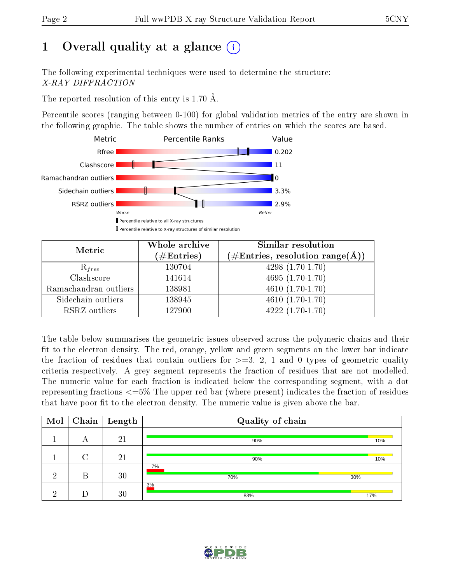# 1 [O](https://www.wwpdb.org/validation/2017/XrayValidationReportHelp#overall_quality)verall quality at a glance  $(i)$

The following experimental techniques were used to determine the structure: X-RAY DIFFRACTION

The reported resolution of this entry is 1.70 Å.

Percentile scores (ranging between 0-100) for global validation metrics of the entry are shown in the following graphic. The table shows the number of entries on which the scores are based.



| Metric                | Whole archive<br>$(\#\mathrm{Entries})$ | Similar resolution<br>$(\#\text{Entries}, \text{resolution range}(\text{\AA}))$ |  |  |
|-----------------------|-----------------------------------------|---------------------------------------------------------------------------------|--|--|
| $R_{free}$            | 130704                                  | $4298(1.70-1.70)$                                                               |  |  |
| Clashscore            | 141614                                  | $4695(1.70-1.70)$                                                               |  |  |
| Ramachandran outliers | 138981                                  | $\overline{4610(1.70-1.70)}$                                                    |  |  |
| Sidechain outliers    | 138945                                  | $4610(1.70-1.70)$                                                               |  |  |
| RSRZ outliers         | 127900                                  | $4222(1.70-1.70)$                                                               |  |  |

The table below summarises the geometric issues observed across the polymeric chains and their fit to the electron density. The red, orange, yellow and green segments on the lower bar indicate the fraction of residues that contain outliers for  $>=3, 2, 1$  and 0 types of geometric quality criteria respectively. A grey segment represents the fraction of residues that are not modelled. The numeric value for each fraction is indicated below the corresponding segment, with a dot representing fractions  $\epsilon=5\%$  The upper red bar (where present) indicates the fraction of residues that have poor fit to the electron density. The numeric value is given above the bar.

| Mol |   | $\boxed{\text{Chain}}$ Length | Quality of chain |     |
|-----|---|-------------------------------|------------------|-----|
|     | А | 21                            | 90%              | 10% |
|     |   | 21                            | 90%              | 10% |
| ച   | В | 30                            | 7%<br>70%        | 30% |
| ച   |   | 30                            | 3%<br>83%        | 17% |

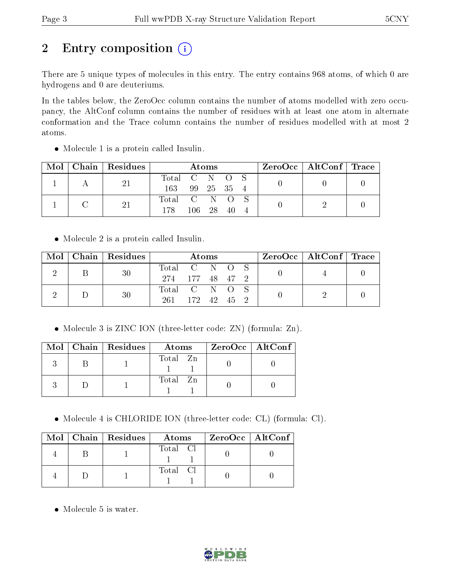# 2 Entry composition (i)

There are 5 unique types of molecules in this entry. The entry contains 968 atoms, of which 0 are hydrogens and 0 are deuteriums.

In the tables below, the ZeroOcc column contains the number of atoms modelled with zero occupancy, the AltConf column contains the number of residues with at least one atom in alternate conformation and the Trace column contains the number of residues modelled with at most 2 atoms.

| Mol |  | Chain Residues | Atoms         |            |     |  |  | ZeroOcc   AltConf   Trace |  |
|-----|--|----------------|---------------|------------|-----|--|--|---------------------------|--|
|     |  | 21             | Total C N O S |            |     |  |  |                           |  |
|     |  |                | 163           | 99 25 35 4 |     |  |  |                           |  |
|     |  |                | Total C N O S |            |     |  |  |                           |  |
|     |  | 178            | 106 28        |            | -40 |  |  |                           |  |

Molecule 1 is a protein called Insulin.

Molecule 2 is a protein called Insulin.

|  |  | $\text{Mol}$   Chain   Residues | <b>Atoms</b>    |  |  |  |  | ZeroOcc   AltConf   Trace |  |
|--|--|---------------------------------|-----------------|--|--|--|--|---------------------------|--|
|  |  | 30                              | Total C N O S   |  |  |  |  |                           |  |
|  |  |                                 | 274 177 48 47 2 |  |  |  |  |                           |  |
|  |  | 30                              | Total C N O S   |  |  |  |  |                           |  |
|  |  | 261 172 42 45 2                 |                 |  |  |  |  |                           |  |

• Molecule 3 is ZINC ION (three-letter code: ZN) (formula: Zn).

|  | $Mol$   Chain   Residues | Atoms    | $ZeroOcc$   AltConf |
|--|--------------------------|----------|---------------------|
|  |                          | Total Zn |                     |
|  |                          | Total Zn |                     |

Molecule 4 is CHLORIDE ION (three-letter code: CL) (formula: Cl).

|  | $Mol$   Chain   Residues | Atoms    | ZeroOcc   AltConf |
|--|--------------------------|----------|-------------------|
|  |                          | Total Cl |                   |
|  |                          | Total Cl |                   |

• Molecule 5 is water.

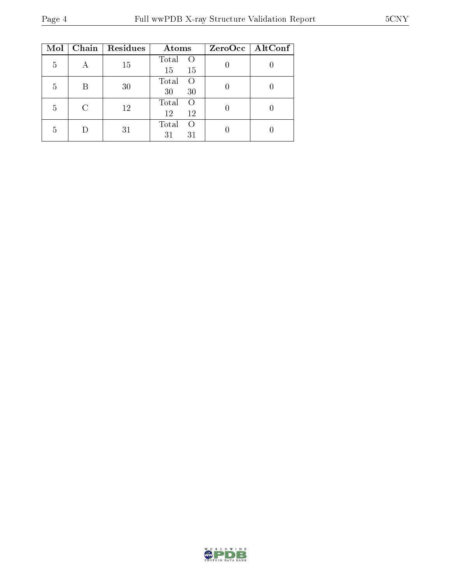| Mol | Chain | Residues | Atoms                                 | $ZeroOcc \   \ AltConf \  $ |
|-----|-------|----------|---------------------------------------|-----------------------------|
| 5   |       | 15       | Total<br>$\left( \right)$<br>15<br>15 |                             |
| 5   | B     | 30       | Total<br>$\Omega$<br>30<br>30         |                             |
| 5   | C     | 12       | Total<br>$\Omega$<br>12<br>12         |                             |
| 5   |       | 31       | Total<br>$\left( \right)$<br>31<br>31 |                             |

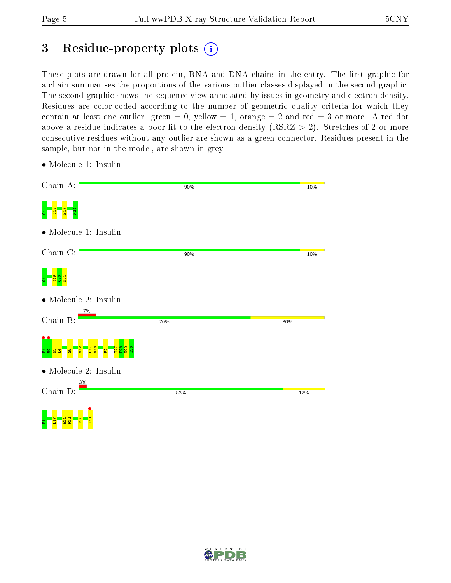# 3 Residue-property plots  $(i)$

These plots are drawn for all protein, RNA and DNA chains in the entry. The first graphic for a chain summarises the proportions of the various outlier classes displayed in the second graphic. The second graphic shows the sequence view annotated by issues in geometry and electron density. Residues are color-coded according to the number of geometric quality criteria for which they contain at least one outlier: green  $= 0$ , yellow  $= 1$ , orange  $= 2$  and red  $= 3$  or more. A red dot above a residue indicates a poor fit to the electron density (RSRZ  $> 2$ ). Stretches of 2 or more consecutive residues without any outlier are shown as a green connector. Residues present in the sample, but not in the model, are shown in grey.

| Chain A:                      | 90% | 10% |
|-------------------------------|-----|-----|
| 풉                             |     |     |
| $\bullet$ Molecule 1: Insulin |     |     |
| Chain C:                      | 90% | 10% |
|                               |     |     |
| $\bullet$ Molecule 2: Insulin |     |     |
| 7%<br>Chain B:                | 70% | 30% |
| $\bullet\bullet$              |     |     |
| $\bullet$ Molecule 2: Insulin |     |     |
| 3%<br>Chain D:                | 83% | 17% |
| ۵<br>္ဇ                       |     |     |

• Molecule 1: Insulin

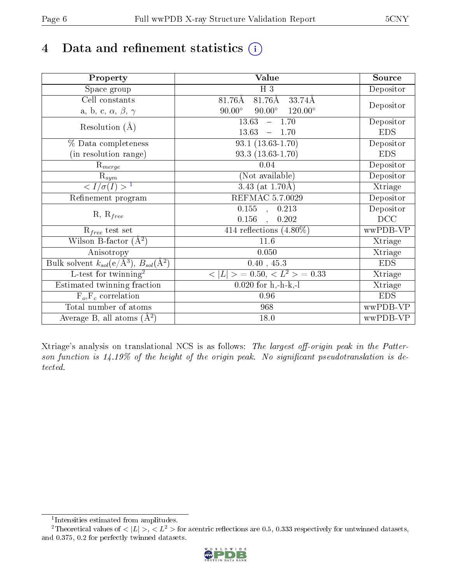# 4 Data and refinement statistics  $(i)$

| Property                                                         | Value                                            | Source     |
|------------------------------------------------------------------|--------------------------------------------------|------------|
| $\overline{\text{Space}}$ group                                  | $H_3$                                            | Depositor  |
| $\operatorname{Cell}$ constants                                  | $81.76\text{\AA}$<br>81.76Å<br>33.74Å            |            |
| a, b, c, $\alpha$ , $\beta$ , $\gamma$                           | $90.00^\circ$<br>$90.00^\circ$<br>$120.00^\circ$ | Depositor  |
| Resolution $(A)$                                                 | $-1.70$<br>13.63                                 | Depositor  |
|                                                                  | 13.63<br>1.70                                    | <b>EDS</b> |
| % Data completeness                                              | $93.1(13.63-1.70)$                               | Depositor  |
| (in resolution range)                                            | $93.3(13.63-1.70)$                               | <b>EDS</b> |
| $R_{merge}$                                                      | 0.04                                             | Depositor  |
| $\mathrm{R}_{sym}$                                               | (Not available)                                  | Depositor  |
| $\overline{1$                                                    | 3.43 (at $1.70\text{\AA}$ )                      | Xtriage    |
| Refinement program                                               | <b>REFMAC 5.7.0029</b>                           | Depositor  |
| $R, R_{free}$                                                    | $\overline{0.155}$ ,<br>0.213                    | Depositor  |
|                                                                  | 0.156<br>0.202<br>$\ddot{\phantom{a}}$           | DCC        |
| $R_{free}$ test set                                              | $414$ reflections $(4.80\%)$                     | wwPDB-VP   |
| Wilson B-factor $(A^2)$                                          | 11.6                                             | Xtriage    |
| Anisotropy                                                       | 0.050                                            | Xtriage    |
| Bulk solvent $k_{sol}(\text{e}/\text{A}^3), B_{sol}(\text{A}^2)$ | 0.40, 45.3                                       | <b>EDS</b> |
| $L$ -test for twinning <sup>2</sup>                              | $< L >$ = 0.50, $< L2$ > = 0.33                  | Xtriage    |
| Estimated twinning fraction                                      | $0.020$ for h,-h-k,-l                            | Xtriage    |
| $F_o, F_c$ correlation                                           | 0.96                                             | <b>EDS</b> |
| Total number of atoms                                            | 968                                              | wwPDB-VP   |
| Average B, all atoms $(A^2)$                                     | 18.0                                             | wwPDB-VP   |

Xtriage's analysis on translational NCS is as follows: The largest off-origin peak in the Patterson function is  $14.19\%$  of the height of the origin peak. No significant pseudotranslation is detected.

<sup>&</sup>lt;sup>2</sup>Theoretical values of  $\langle |L| \rangle$ ,  $\langle L^2 \rangle$  for acentric reflections are 0.5, 0.333 respectively for untwinned datasets, and 0.375, 0.2 for perfectly twinned datasets.



<span id="page-5-1"></span><span id="page-5-0"></span><sup>1</sup> Intensities estimated from amplitudes.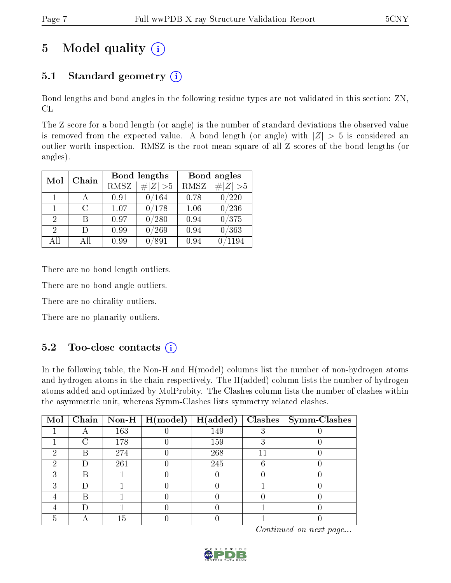# 5 Model quality  $(i)$

## 5.1 Standard geometry  $(i)$

Bond lengths and bond angles in the following residue types are not validated in this section: ZN, CL

The Z score for a bond length (or angle) is the number of standard deviations the observed value is removed from the expected value. A bond length (or angle) with  $|Z| > 5$  is considered an outlier worth inspection. RMSZ is the root-mean-square of all Z scores of the bond lengths (or angles).

| Mol                         | Chain  |      | <b>Bond lengths</b> | Bond angles |             |  |
|-----------------------------|--------|------|---------------------|-------------|-------------|--|
|                             |        | RMSZ | $\# Z  > 5$         | <b>RMSZ</b> | H Z <br>>5  |  |
| 1                           |        | 0.91 | 0/164               | 0.78        | /220        |  |
| 1                           | $\cap$ | 1.07 | 0/178               | 1.06        | $0\, / 236$ |  |
| 2                           | R      | 0.97 | 0/280               | 0.94        | 0/375       |  |
| $\mathcal{D}_{\mathcal{A}}$ |        | 0.99 | /269                | 0.94        | 0/363       |  |
| All                         | Αll    | 0.99 | $^{\prime}891$      | 0.94        | 1194        |  |

There are no bond length outliers.

There are no bond angle outliers.

There are no chirality outliers.

There are no planarity outliers.

### $5.2$  Too-close contacts  $\overline{1}$

In the following table, the Non-H and H(model) columns list the number of non-hydrogen atoms and hydrogen atoms in the chain respectively. The H(added) column lists the number of hydrogen atoms added and optimized by MolProbity. The Clashes column lists the number of clashes within the asymmetric unit, whereas Symm-Clashes lists symmetry related clashes.

| $\text{Mol}$ |   |     | $\boxed{\text{Chain} \mid \text{Non-H} \mid \text{H}(\text{model})}$ | H(added) | $Clashes$   Symm-Clashes |
|--------------|---|-----|----------------------------------------------------------------------|----------|--------------------------|
|              |   | 163 |                                                                      | 149      |                          |
|              |   | 178 |                                                                      | 159      |                          |
| 6)           | В | 274 |                                                                      | 268      |                          |
| റ            |   | 261 |                                                                      | 245      |                          |
|              | R |     |                                                                      |          |                          |
|              |   |     |                                                                      |          |                          |
|              | В |     |                                                                      |          |                          |
|              |   |     |                                                                      |          |                          |
|              |   | ה ו |                                                                      |          |                          |

Continued on next page...

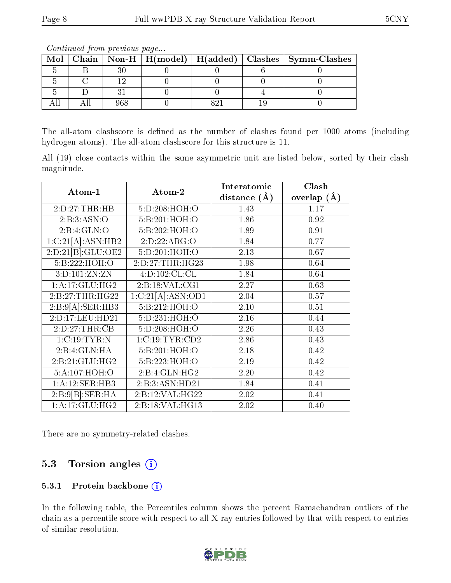|  |  |  |  |  |  | Mol   Chain   Non-H   H(model)   H(added)   Clashes   Symm-Clashes |  |  |
|--|--|--|--|--|--|--------------------------------------------------------------------|--|--|
|  |  |  |  |  |  |                                                                    |  |  |
|  |  |  |  |  |  |                                                                    |  |  |
|  |  |  |  |  |  |                                                                    |  |  |
|  |  |  |  |  |  |                                                                    |  |  |

Continued from previous page...

The all-atom clashscore is defined as the number of clashes found per 1000 atoms (including hydrogen atoms). The all-atom clashscore for this structure is 11.

All (19) close contacts within the same asymmetric unit are listed below, sorted by their clash magnitude.

|                   |                            | Interatomic      | Clash         |  |
|-------------------|----------------------------|------------------|---------------|--|
| Atom-1            | Atom-2                     | distance $(\AA)$ | overlap $(A)$ |  |
| 2:D:27:THR:HB     | 5:D:208:HOH:O              | 1.43             | 1.17          |  |
| 2:B:3:ASN:O       | 5:B:201:HOH:O              | 1.86             | 0.92          |  |
| 2:B:4:GLN:O       | 5:B:202:HOH:O              | 1.89             | 0.91          |  |
| 1:C:21[A]:ASN:HB2 | 2:D:22:ARG:O               | 1.84             | 0.77          |  |
| 2:D:21[B]:GLU:OE2 | 5:D:201:HOH:O              | 2.13             | 0.67          |  |
| 5:B:222:HOH:O     | 2:D:27:THR:HG23            | 1.98             | 0.64          |  |
| 3:D:101:ZN:ZN     | 4:D:102:CL:CL              | 1.84             | 0.64          |  |
| 1: A:17: GLU: HG2 | 2:B:18:VAL:CG1             | 2.27             | 0.63          |  |
| 2:B:27:THR:HG22   | 1:C:21[A]:ASN:OD1          | 2.04             | 0.57          |  |
| 2:B:9[A].SER:HB3  | 5:B:212:HOH:O              | 2.10             | 0.51          |  |
| 2:D:17:LEU:HD21   | 5:D:231:HOH:O              | 2.16             | 0.44          |  |
| 2:D:27:THR:CB     | 5:D:208:HOH:O              | 2.26             | 0.43          |  |
| 1:C:19:TYR:N      | 1:C:19:TYR:CD2             | 2.86             | 0.43          |  |
| 2:B:4:GLN:HA      | 5:B:201:HOH:O              | 2.18             | 0.42          |  |
| 2:B:21:GLU:HG2    | 5:B:223:HOH:O              | 2.19             | 0.42          |  |
| 5:A:107:HOH:O     | $2:B:4:GLN:\overline{HG2}$ | 2.20             | 0.42          |  |
| 1:A:12:SER:HB3    | 2:B:3:ASN:HD21             | 1.84             | 0.41          |  |
| 2:B:9[B] : SER:HA | 2:B:12:VAL:HG22            | 2.02             | 0.41          |  |
| 1: A:17: GLU: HG2 | 2:B:18:VAL:HG13            | 2.02             | 0.40          |  |

There are no symmetry-related clashes.

### 5.3 Torsion angles  $(i)$

#### 5.3.1 Protein backbone (i)

In the following table, the Percentiles column shows the percent Ramachandran outliers of the chain as a percentile score with respect to all X-ray entries followed by that with respect to entries of similar resolution.

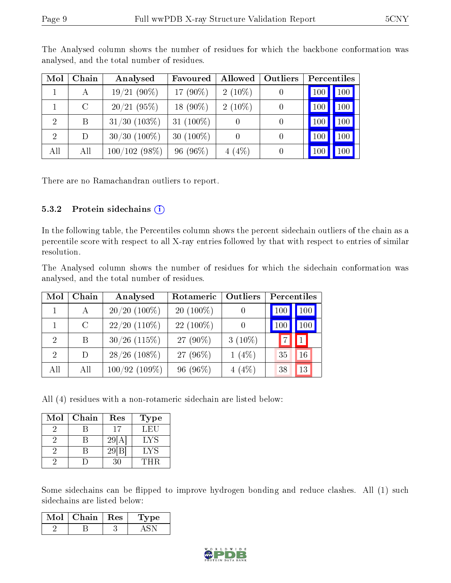| Mol            | Chain         | Analysed          | Favoured     | Allowed   | Outliers | Percentiles |                  |
|----------------|---------------|-------------------|--------------|-----------|----------|-------------|------------------|
|                | А             | $19/21(90\%)$     | 17 $(90\%)$  | $2(10\%)$ |          | 100         | 100              |
|                | $\mathcal{C}$ | 20/21(95%)        | 18 $(90\%)$  | $2(10\%)$ |          | 100         | 100              |
| $\overline{2}$ | Β             | $31/30$ $(103\%)$ | 31 $(100\%)$ |           |          | $100\,$     | 100              |
| $\overline{2}$ | D             | $30/30$ $(100\%)$ | 30 $(100\%)$ |           |          | -100        | 100 <sub>1</sub> |
| All            | All           | 100/102(98%)      | $96(96\%)$   | $4(4\%)$  |          | 100         | 100              |

The Analysed column shows the number of residues for which the backbone conformation was analysed, and the total number of residues.

There are no Ramachandran outliers to report.

#### 5.3.2 Protein sidechains  $(i)$

In the following table, the Percentiles column shows the percent sidechain outliers of the chain as a percentile score with respect to all X-ray entries followed by that with respect to entries of similar resolution.

The Analysed column shows the number of residues for which the sidechain conformation was analysed, and the total number of residues.

| Mol                         | Chain   | Analysed        | Rotameric   | Outliers  | Percentiles |     |
|-----------------------------|---------|-----------------|-------------|-----------|-------------|-----|
|                             |         | $20/20$ (100%)  | $20(100\%)$ |           | 100         | 100 |
|                             | $\rm C$ | $22/20$ (110\%) | $22(100\%)$ |           | 100         | 100 |
| $\mathcal{D}_{\mathcal{A}}$ | B       | $30/26$ (115%)  | $27(90\%)$  | $3(10\%)$ |             |     |
| $\mathcal{D}$               | D       | $28/26$ (108\%) | 27 (96\%)   | $1(4\%)$  | 35          | 16  |
| All                         | All     | $100/92(109\%)$ | $96(96\%)$  | 4(4%)     | 38          | 13  |

All (4) residues with a non-rotameric sidechain are listed below:

| Mol | Chain | Res        | <b>Type</b> |
|-----|-------|------------|-------------|
|     |       | 17         | LEU         |
|     |       | $29$   $A$ | LYS         |
|     |       | 29 B       | LYS         |
|     |       | 30         | THR         |

Some sidechains can be flipped to improve hydrogen bonding and reduce clashes. All (1) such sidechains are listed below:

| Mol | Chain   Res | 'Type |
|-----|-------------|-------|
|     |             |       |

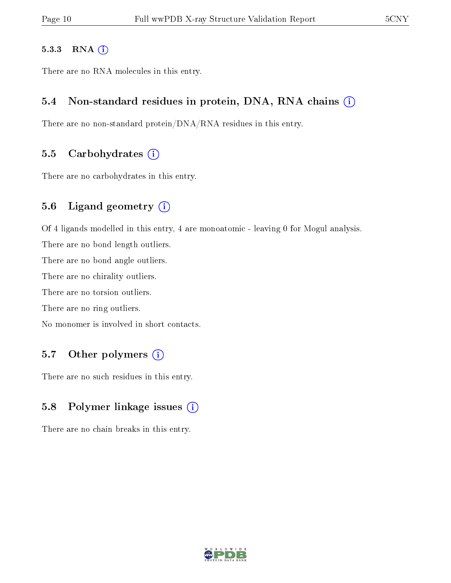#### 5.3.3 RNA (i)

There are no RNA molecules in this entry.

#### 5.4 Non-standard residues in protein, DNA, RNA chains (i)

There are no non-standard protein/DNA/RNA residues in this entry.

#### 5.5 Carbohydrates  $(i)$

There are no carbohydrates in this entry.

#### 5.6 Ligand geometry (i)

Of 4 ligands modelled in this entry, 4 are monoatomic - leaving 0 for Mogul analysis.

There are no bond length outliers.

There are no bond angle outliers.

There are no chirality outliers.

There are no torsion outliers.

There are no ring outliers.

No monomer is involved in short contacts.

### 5.7 [O](https://www.wwpdb.org/validation/2017/XrayValidationReportHelp#nonstandard_residues_and_ligands)ther polymers (i)

There are no such residues in this entry.

#### 5.8 Polymer linkage issues  $(i)$

There are no chain breaks in this entry.

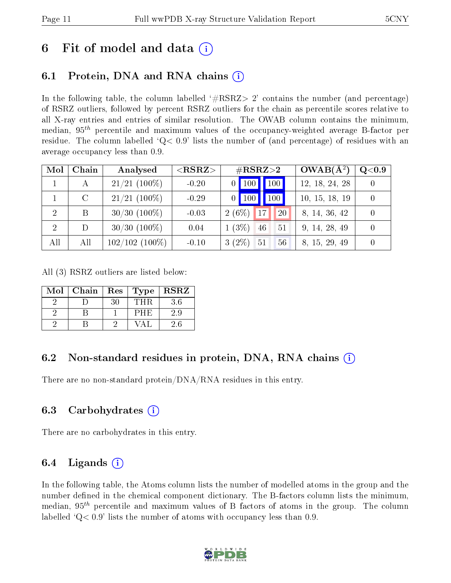## 6 Fit of model and data  $\left( \cdot \right)$

### 6.1 Protein, DNA and RNA chains (i)

In the following table, the column labelled  $#RSRZ>2'$  contains the number (and percentage) of RSRZ outliers, followed by percent RSRZ outliers for the chain as percentile scores relative to all X-ray entries and entries of similar resolution. The OWAB column contains the minimum, median,  $95<sup>th</sup>$  percentile and maximum values of the occupancy-weighted average B-factor per residue. The column labelled  $Q< 0.9$  lists the number of (and percentage) of residues with an average occupancy less than 0.9.

| Mol | Chain         | Analysed          | $<$ RSRZ $>$ | $\#\text{RSRZ}\text{>2}$                      | $OWAB(A^2)$    | $Q<$ 0.9 |
|-----|---------------|-------------------|--------------|-----------------------------------------------|----------------|----------|
|     | $\mathsf{A}$  | $21/21$ (100%)    | $-0.20$      | 100 <sub>l</sub><br>$\vert$ 100<br>$\Omega$ 1 | 12, 18, 24, 28 |          |
|     | $\mathcal{C}$ | $21/21$ (100%)    | $-0.29$      | 100<br>$\vert$ 100<br>$\overline{0}$          | 10, 15, 18, 19 |          |
| 2   | B             | $30/30$ $(100\%)$ | $-0.03$      | $2(6\%)$<br>17<br>20                          | 8, 14, 36, 42  |          |
| 2   | D             | $30/30$ $(100\%)$ | 0.04         | $1(3\%)$<br>46<br>51                          | 9, 14, 28, 49  |          |
| All | All           | $102/102(100\%)$  | $-0.10$      | $3(2\%)$<br>51<br>56                          | 8, 15, 29, 49  |          |

All (3) RSRZ outliers are listed below:

| Mol | Chain | Res | Type | <b>RSRZ</b> |
|-----|-------|-----|------|-------------|
|     |       | 30  | THR  | 3.6         |
|     |       |     | PHE  | 2.9         |
|     |       |     |      | 2.6         |

### 6.2 Non-standard residues in protein, DNA, RNA chains (i)

There are no non-standard protein/DNA/RNA residues in this entry.

#### 6.3 Carbohydrates  $(i)$

There are no carbohydrates in this entry.

### 6.4 Ligands  $(i)$

In the following table, the Atoms column lists the number of modelled atoms in the group and the number defined in the chemical component dictionary. The B-factors column lists the minimum, median,  $95<sup>th</sup>$  percentile and maximum values of B factors of atoms in the group. The column labelled  $Q< 0.9$  lists the number of atoms with occupancy less than 0.9.